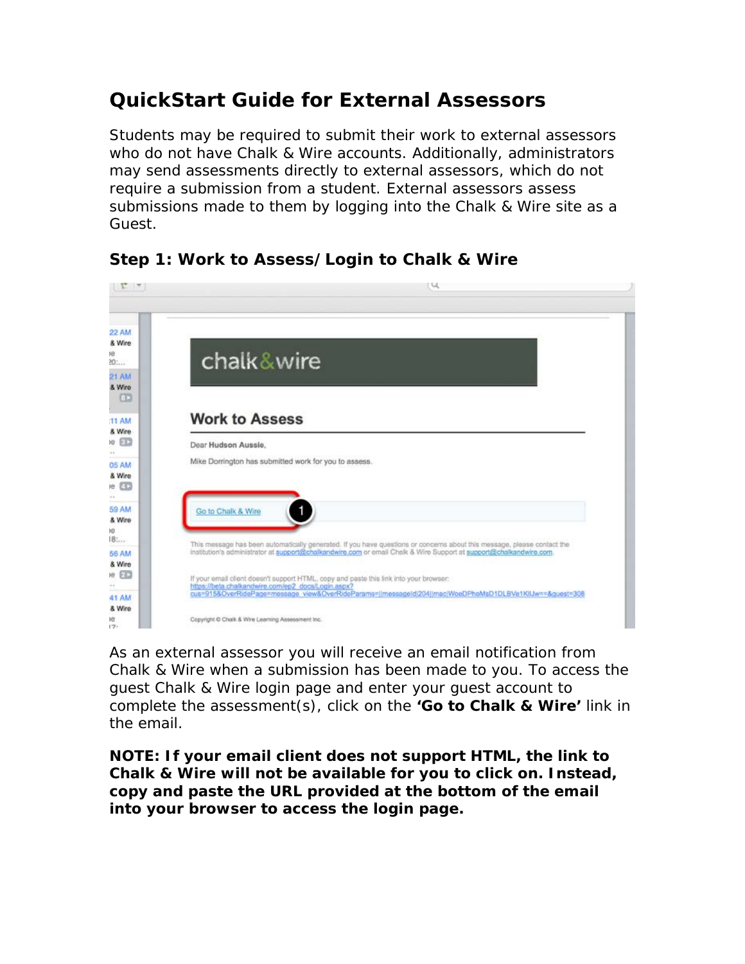## **QuickStart Guide for External Assessors**

Students may be required to submit their work to external assessors who do not have Chalk & Wire accounts. Additionally, administrators may send assessments directly to external assessors, which do not require a submission from a student. External assessors assess submissions made to them by logging into the Chalk & Wire site as a Guest.

| chalk&wire                                            |                                                                                                                                                                                                                                               |
|-------------------------------------------------------|-----------------------------------------------------------------------------------------------------------------------------------------------------------------------------------------------------------------------------------------------|
| <b>Work to Assess</b>                                 |                                                                                                                                                                                                                                               |
| Dear Hudson Aussie.                                   |                                                                                                                                                                                                                                               |
| Mike Dorrington has submitted work for you to assess. |                                                                                                                                                                                                                                               |
| Go to Chalk & Wire                                    | $\mathbf{1}$                                                                                                                                                                                                                                  |
|                                                       | This message has been automatically generated. If you have questions or concerns about this message, please contact the<br>institution's administrator at support@chalkandwire.com or email Chalk & Wire Support at support@chalkandwire.com. |
| https://beta.chalkandwire.com/ep2_docs/Login.aspx?    | If your email client doesn't support HTML, copy and paste this link into your browser:<br>cus=9158OverRidePage=message_view&OverRideParams=(/messageId)204(/mac)WoeDPhoMsD1DLBVe1KIIJw==&guest=308                                            |
|                                                       |                                                                                                                                                                                                                                               |
| Copyright C Chalk & Wire Learning Assessment Inc.     |                                                                                                                                                                                                                                               |

## **Step 1: Work to Assess/Login to Chalk & Wire**

As an external assessor you will receive an email notification from Chalk & Wire when a submission has been made to you. To access the guest Chalk & Wire login page and enter your guest account to complete the assessment(s), click on the **'Go to Chalk & Wire'** link in the email.

**NOTE: If your email client does not support HTML, the link to Chalk & Wire will not be available for you to click on. Instead, copy and paste the URL provided at the bottom of the email into your browser to access the login page.**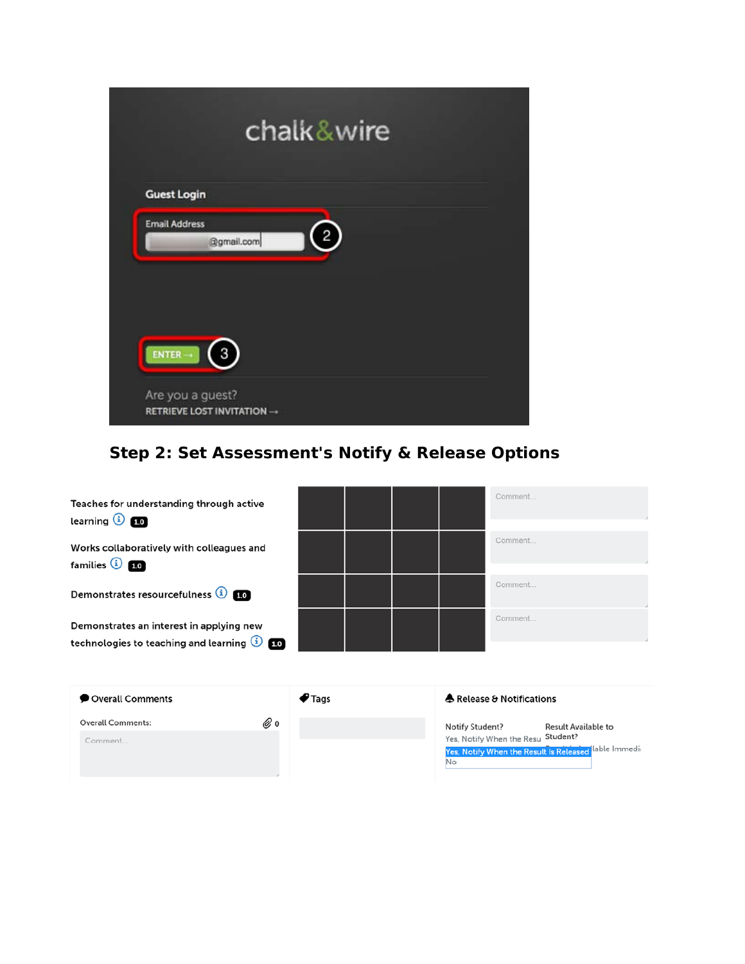|                                                | chalk&wire     |  |
|------------------------------------------------|----------------|--|
| <b>Guest Login</b>                             |                |  |
| <b>Email Address</b><br>@gmail.com             | $\overline{2}$ |  |
|                                                |                |  |
| $ENTER \rightarrow$<br>$\overline{3}$          |                |  |
| Are you a guest?<br>RETRIEVE LOST INVITATION - |                |  |

# **Step 2: Set Assessment's Notify & Release Options**

| Teaches for understanding through active<br>learning $\bigcirc$ 10                               |  |  | Comment |
|--------------------------------------------------------------------------------------------------|--|--|---------|
| Works collaboratively with colleagues and<br>families $\overline{10}$ 10                         |  |  | Comment |
| Demonstrates resourcefulness (1)                                                                 |  |  | Comment |
| Demonstrates an interest in applying new<br>technologies to teaching and learning $\overline{1}$ |  |  | Comment |
|                                                                                                  |  |  |         |

| Overall Comments         | $\blacktriangledown$ Tags | A Release & Notifications                                                                         |  |  |  |
|--------------------------|---------------------------|---------------------------------------------------------------------------------------------------|--|--|--|
| <b>Overall Comments:</b> | ⊗ ง                       | <b>Result Available to</b><br>Notify Student?                                                     |  |  |  |
| Comment                  |                           | Yes, Notify When the Resu Student?<br>Yes, Notify When the Result Is Released lable Immedia<br>No |  |  |  |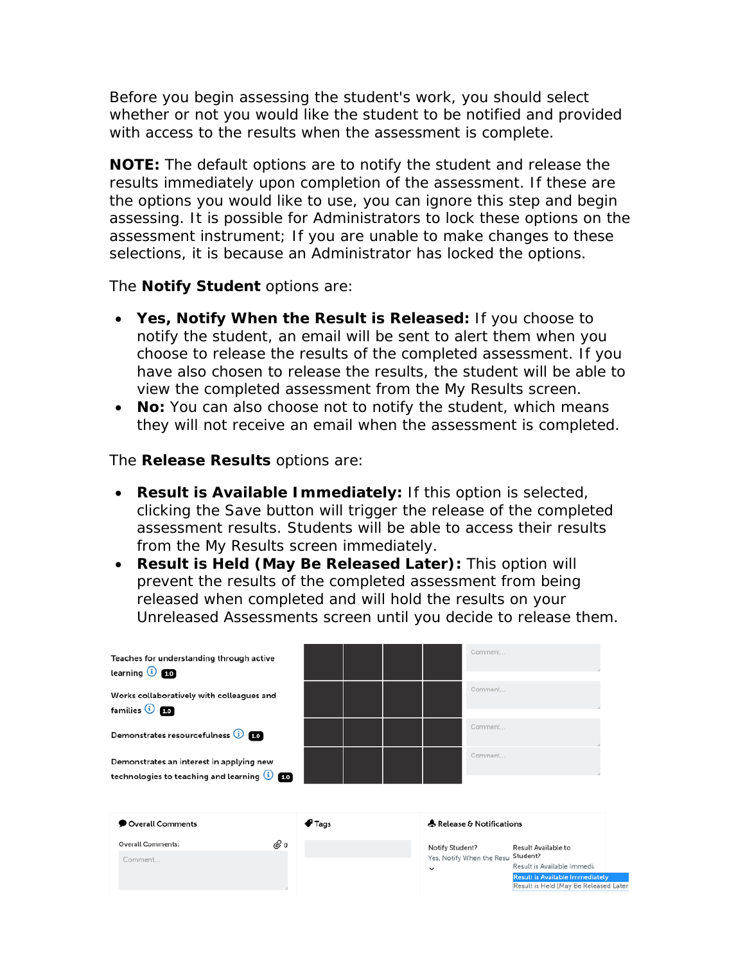Before you begin assessing the student's work, you should select whether or not you would like the student to be notified and provided with access to the results when the assessment is complete.

**NOTE:** The default options are to notify the student and release the results immediately upon completion of the assessment. If these are the options you would like to use, you can ignore this step and begin assessing. It is possible for Administrators to lock these options on the assessment instrument; If you are unable to make changes to these selections, it is because an Administrator has locked the options.

The **Notify Student** options are:

- **Yes, Notify When the Result is Released:** If you choose to notify the student, an email will be sent to alert them when you choose to release the results of the completed assessment. If you have also chosen to release the results, the student will be able to view the completed assessment from the My Results screen.
- **No:** You can also choose not to notify the student, which means they will not receive an email when the assessment is completed.

The **Release Results** options are:

- **Result is Available Immediately:** If this option is selected, clicking the Save button will trigger the release of the completed assessment results. Students will be able to access their results from the My Results screen immediately.
- **Result is Held (May Be Released Later):** This option will prevent the results of the completed assessment from being released when completed and will hold the results on your Unreleased Assessments screen until you decide to release them.

| Teaches for understanding through active<br>learning $\overline{10}$ 10                |                           | Comment                                                      |                                                                                                                                           |
|----------------------------------------------------------------------------------------|---------------------------|--------------------------------------------------------------|-------------------------------------------------------------------------------------------------------------------------------------------|
| Works collaboratively with colleagues and<br>families $\overline{10}$ $\overline{10}$  |                           | Comment                                                      |                                                                                                                                           |
| Demonstrates resourcefulness (1) 10                                                    |                           | Comment                                                      |                                                                                                                                           |
| Demonstrates an interest in applying new<br>technologies to teaching and learning 1 10 |                           | Comment                                                      |                                                                                                                                           |
| Overall Comments                                                                       | $\blacktriangledown$ Tags | A Release & Notifications                                    |                                                                                                                                           |
| ⊘ ง<br><b>Overall Comments:</b><br>Comment                                             |                           | Notify Student?<br>Yes, Notify When the Resu<br>$\checkmark$ | Result Available to<br>Student?<br>Result is Available Immedia<br>Result is Available Immediately<br>Result is Held (May Be Released Late |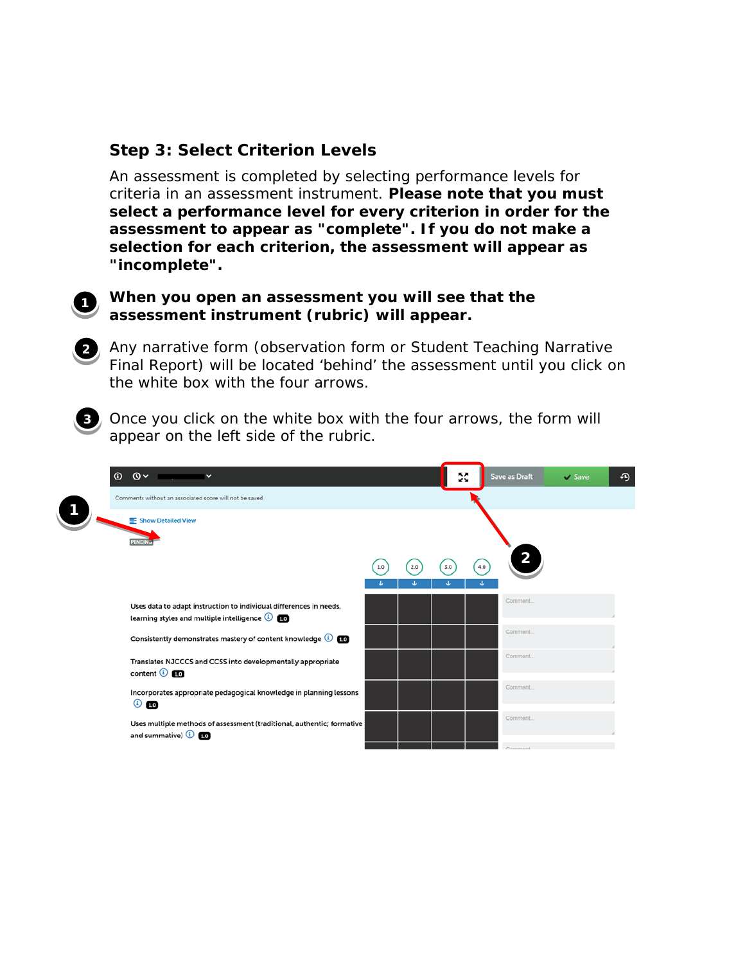### **Step 3: Select Criterion Levels**

An assessment is completed by selecting performance levels for criteria in an assessment instrument. **Please note that you must select a performance level for every criterion in order for the assessment to appear as "complete". If you do not make a selection for each criterion, the assessment will appear as "incomplete".** 



**When you open an assessment you will see that the assessment instrument (rubric) will appear.** 



**2** Any narrative form (observation form or Student Teaching Narrative Final Report) will be located 'behind' the assessment until you click on the white box with the four arrows.



**3** Once you click on the white box with the four arrows, the form will appear on the left side of the rubric.

|  | $\mathbf{Q}$<br>$\odot$<br>$\checkmark$                                                                             |     |     | Ş.  |     | Save as Draft           | $\vee$ Save | ⊕ |
|--|---------------------------------------------------------------------------------------------------------------------|-----|-----|-----|-----|-------------------------|-------------|---|
|  | Comments without an associated score will not be saved.                                                             |     |     |     |     |                         |             |   |
|  | Show Detailed View<br>PENDIN                                                                                        |     |     |     |     |                         |             |   |
|  |                                                                                                                     | 1.0 | 2.0 | 3.0 | 4.0 | $\overline{\mathbf{c}}$ |             |   |
|  | Uses data to adapt instruction to individual differences in needs,<br>learning styles and multiple intelligence (1) |     |     |     |     | Comment                 |             |   |
|  | Consistently demonstrates mastery of content knowledge (1) [10]                                                     |     |     |     |     | Comment                 |             |   |
|  | Translates NJCCCS and CCSS into developmentally appropriate<br>content $\overline{1}$ $\overline{1}$                |     |     |     |     | Comment                 |             |   |
|  | Incorporates appropriate pedagogical knowledge in planning lessons<br>$\odot$ 1.0                                   |     |     |     |     | Comment                 |             |   |
|  | Uses multiple methods of assessment (traditional, authentic; formative<br>and summative) $\bigcirc$ $\bigcirc$      |     |     |     |     | Comment                 |             |   |
|  |                                                                                                                     |     |     |     |     | Comman                  |             |   |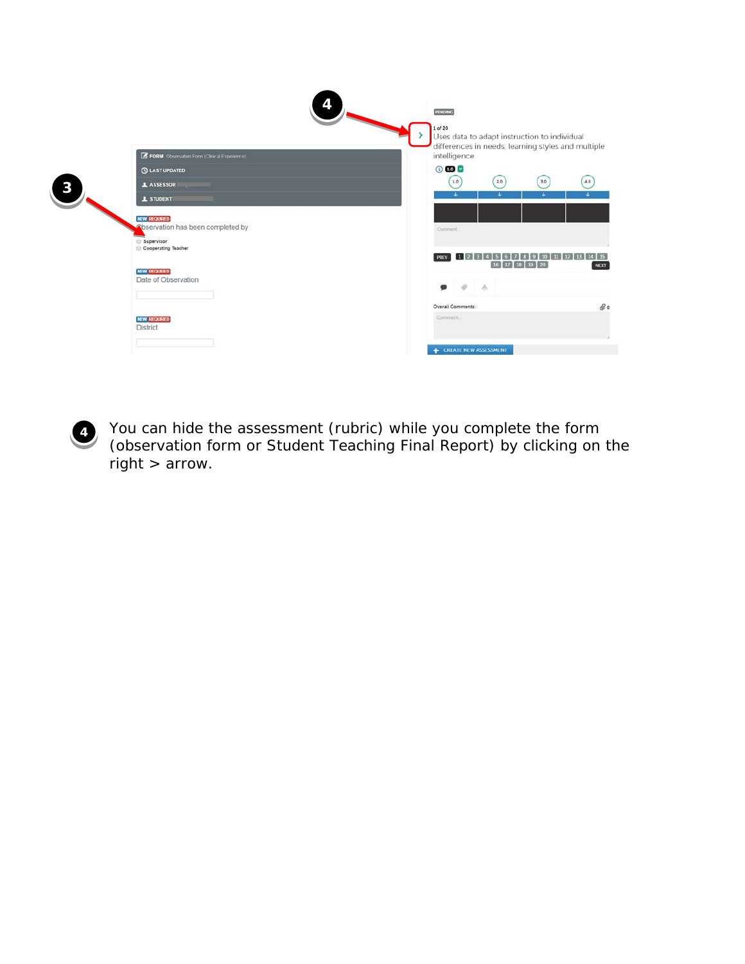

**4** You can hide the assessment (rubric) while you complete the form (observation form or Student Teaching Final Report) by clicking on the right > arrow.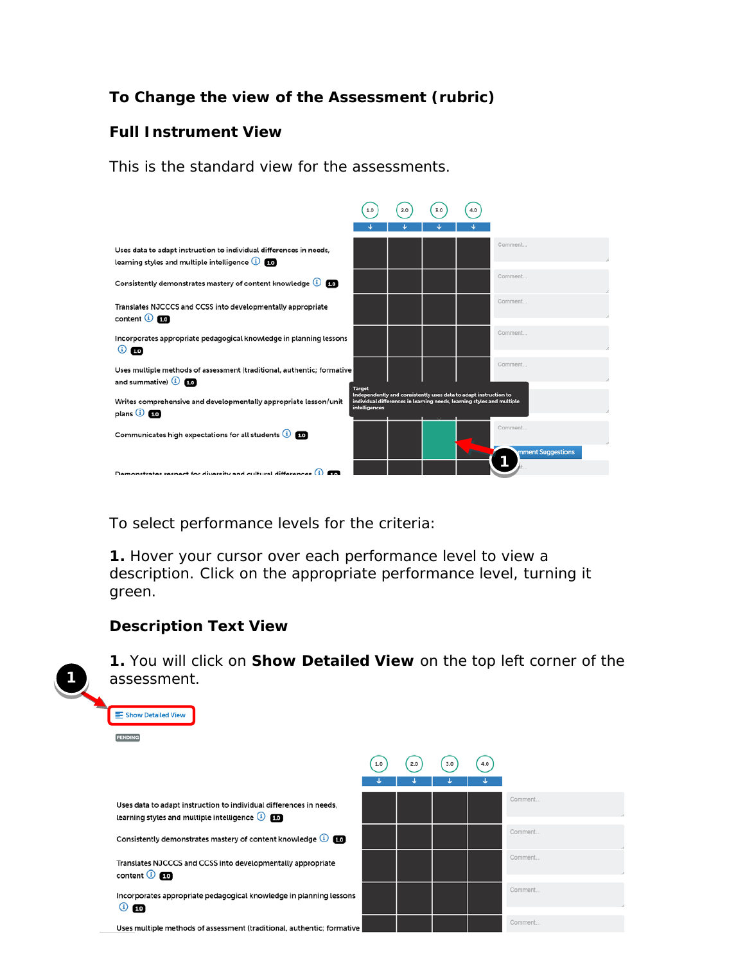## **To Change the view of the Assessment (rubric)**

#### **Full Instrument View**

This is the standard view for the assessments.



To select performance levels for the criteria:

**1.** Hover your cursor over each performance level to view a description. Click on the appropriate performance level, turning it green.

#### **Description Text View**



**1.** You will click on **Show Detailed View** on the top left corner of the assessment.

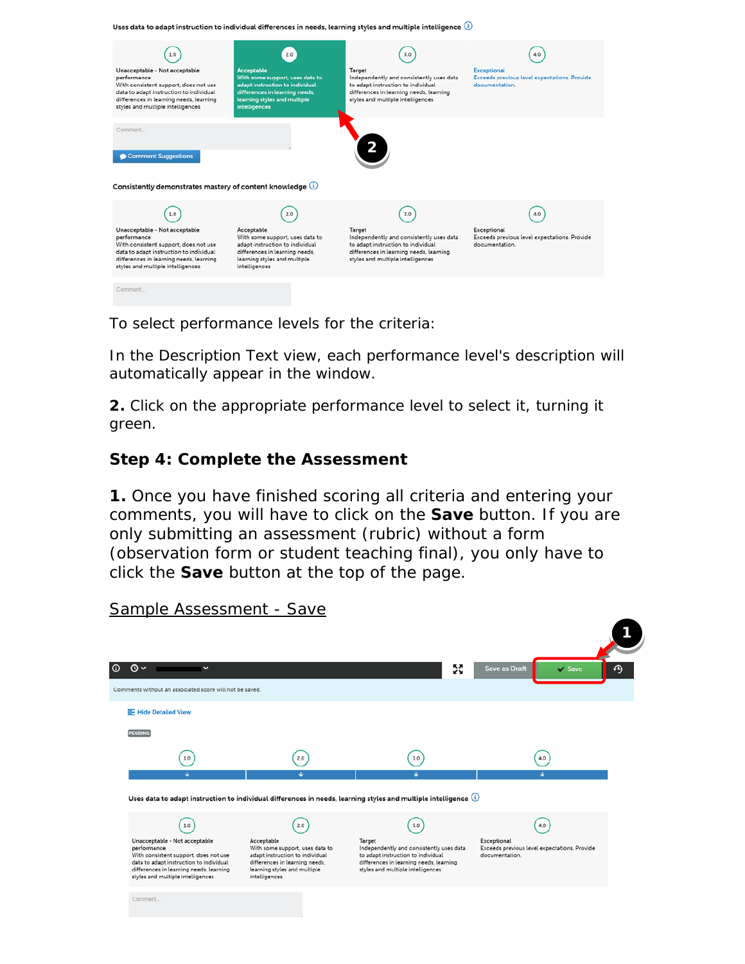Uses data to adapt instruction to individual differences in needs, learning styles and multiple intelligence  $\circledR$ 



To select performance levels for the criteria:

In the Description Text view, each performance level's description will automatically appear in the window.

**2.** Click on the appropriate performance level to select it, turning it green.

### **Step 4: Complete the Assessment**

**1.** Once you have finished scoring all criteria and entering your comments, you will have to click on the **Save** button. If you are only submitting an assessment (rubric) without a form (observation form or student teaching final), you only have to click the **Save** button at the top of the page.

**1** $\circ$  $\omega$ 53 Save as Draft  $\boldsymbol{\varphi}$ Comments without an associated score will not be saved F Hide Detailed View **PENDING**  $\left(1.0\right)$  $(2.0)$  $\left( 3.0 \right)$  $\left(4.0\right)$ Uses data to adapt instruction to individual differences in needs, learning styles and multiple intelligence  $(1.0)$  $(2.0)$  $(3.0)$  $(4.0)$ Target<br>Independently and consistently uses data<br>to adapt instruction to individual Unacceptable - Not acceptable Acceptable Exceptional<br>Exceeds previous level expectations. Provide Princeptable 1101 acceptable<br>With consistent support, does not use Neceptable<br>With some support, uses data to<br>adapt instruction to individual data to adapt instruction to individual differences in learning needs, differences in learning needs, learning differences in learning needs, learning<br>styles and multiple intelligences learning styles and multiple styles and multiple intelligences intelligences Comment.

Sample Assessment - Save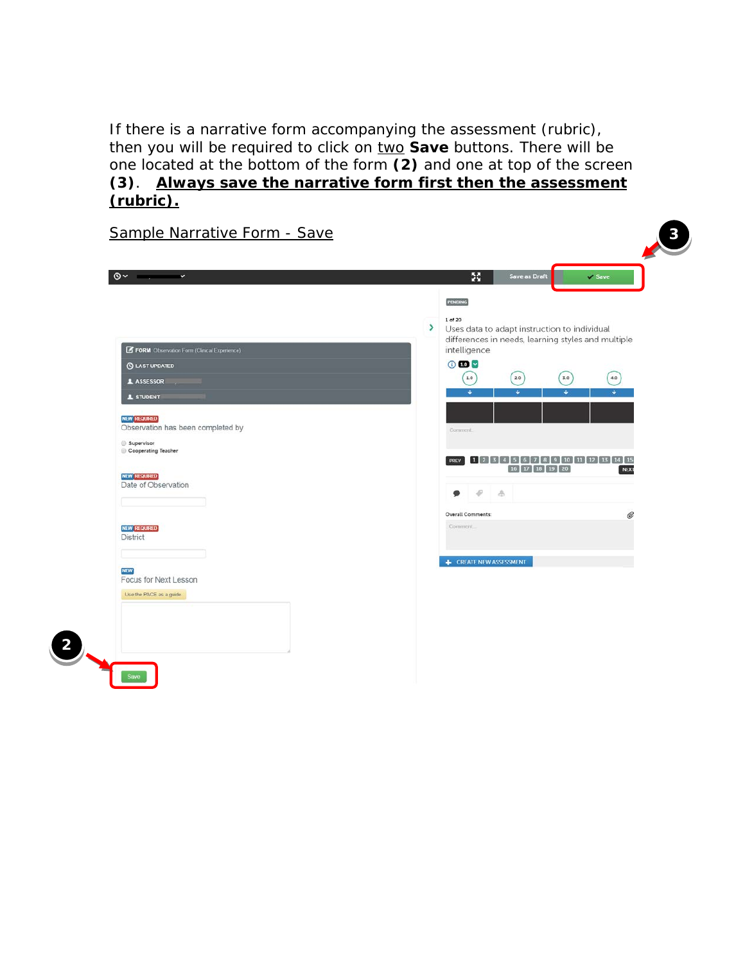If there is a narrative form accompanying the assessment (rubric), then you will be required to click on two **Save** buttons. There will be one located at the bottom of the form **(2)** and one at top of the screen **(3)**. **Always save the narrative form first then the assessment (rubric).**

|                                                                                                                                                                                                                | 55                                                                                                                                                                                                                                                                                            |   |
|----------------------------------------------------------------------------------------------------------------------------------------------------------------------------------------------------------------|-----------------------------------------------------------------------------------------------------------------------------------------------------------------------------------------------------------------------------------------------------------------------------------------------|---|
| FORM Observation Form (Clinical Experience)<br><b>C</b> LAST UPDATED<br><b>1</b> ASSESSOR<br><b>1</b> STUDENT<br><b>NEW REQUIRED</b><br>Observation has been completed by<br>Supervisor<br>Cooperating Teacher | <b>PENDING</b><br>1 of 20<br>▸<br>Uses data to adapt instruction to individual<br>differences in needs, learning styles and multiple<br>intelligence<br>000<br>$1.0\,$<br>$3.0\,$<br>4.0<br>2.0<br>٠<br>٠<br>÷.<br>٠<br>Comment<br>PREV 1 2 3 4 5 6 7 8 9 10 11 12 13 14 15<br>16 17 18 19 20 |   |
| <b>NEW REQUIRED</b><br>Date of Observation<br>NEW REQUIRED<br><b>District</b>                                                                                                                                  | NEXT<br>$\mathcal{P}$<br>A<br>●<br><b>Overall Comments:</b><br>Comment                                                                                                                                                                                                                        | Ø |
| <b>NEW</b><br>Focus for Next Lesson<br>Use the PACE as a guide.                                                                                                                                                | <b>E</b> CREATE NEW ASSESSMENT                                                                                                                                                                                                                                                                |   |
|                                                                                                                                                                                                                |                                                                                                                                                                                                                                                                                               |   |

Sample Narrative Form - S

**2**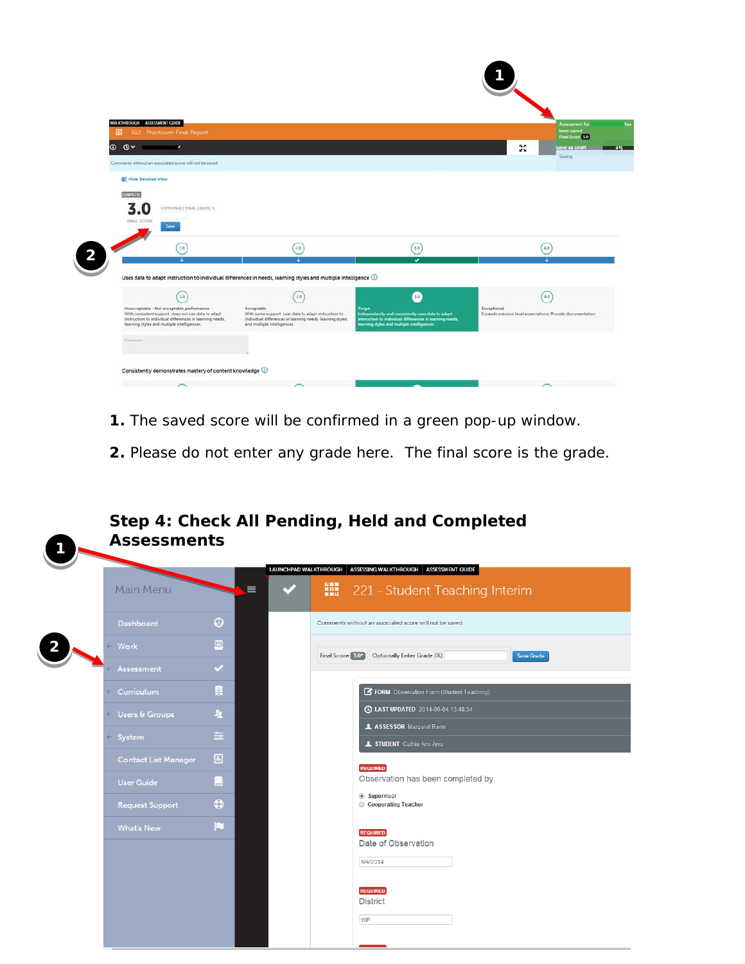| WALKTHROUGH ASSESSMENT GUIDE<br>512 - Practicum Final Report<br>冊                                                                                                                                          |                                                                                                                                   |                                                                                                        |                                                                           | <b>Assessment for</b><br>been saved<br>Final Score 5.0 |
|------------------------------------------------------------------------------------------------------------------------------------------------------------------------------------------------------------|-----------------------------------------------------------------------------------------------------------------------------------|--------------------------------------------------------------------------------------------------------|---------------------------------------------------------------------------|--------------------------------------------------------|
| $^{\circ}$<br>$\mathbf{O}$<br>$\sim$                                                                                                                                                                       |                                                                                                                                   |                                                                                                        | 55                                                                        | Save as Urant                                          |
| Comments without an associated score will not be saved.                                                                                                                                                    |                                                                                                                                   |                                                                                                        |                                                                           | Saving                                                 |
| F Hide Detailed View                                                                                                                                                                                       |                                                                                                                                   |                                                                                                        |                                                                           |                                                        |
| <b>CONPLETE</b>                                                                                                                                                                                            |                                                                                                                                   |                                                                                                        |                                                                           |                                                        |
| 3.0<br>(OPTIONAL) FINAL GRADE %<br><b>FINAL SCORE</b><br>Save                                                                                                                                              |                                                                                                                                   |                                                                                                        |                                                                           |                                                        |
| 1.0                                                                                                                                                                                                        | 2.0                                                                                                                               | 3.0                                                                                                    |                                                                           | 4.0                                                    |
| $\overline{\phantom{a}}$                                                                                                                                                                                   | ÷.<br>Uses data to adapt instruction to individual differences in needs, learning styles and multiple intelligence $\circledcirc$ | $\checkmark$                                                                                           |                                                                           | Ŧ                                                      |
| 1.0                                                                                                                                                                                                        | 2.0                                                                                                                               | 3.0                                                                                                    |                                                                           | 4.0                                                    |
|                                                                                                                                                                                                            | Acceptable<br>With some support, uses data to adapt instruction to                                                                | <b>Target</b><br>Independently and consistently uses data to adapt                                     | Exceptional<br>Exceeds previous level expectations. Provide documentation |                                                        |
| Unacceptable - Not acceptable performance<br>With consistent support, does not use data to adapt<br>instruction to individual differences in learning needs.<br>learning styles and multiple intelligences | individual differences in learning needs, learning styles<br>and multiple intelligences                                           | instruction to individual differences in learning needs.<br>learning styles and multiple intelligences |                                                                           |                                                        |
| Comment.                                                                                                                                                                                                   |                                                                                                                                   |                                                                                                        |                                                                           |                                                        |
| Consistently demonstrates mastery of content knowledge (                                                                                                                                                   |                                                                                                                                   |                                                                                                        |                                                                           |                                                        |

- **1.** The saved score will be confirmed in a green pop-up window.
- **2.** Please do not enter any grade here. The final score is the grade.

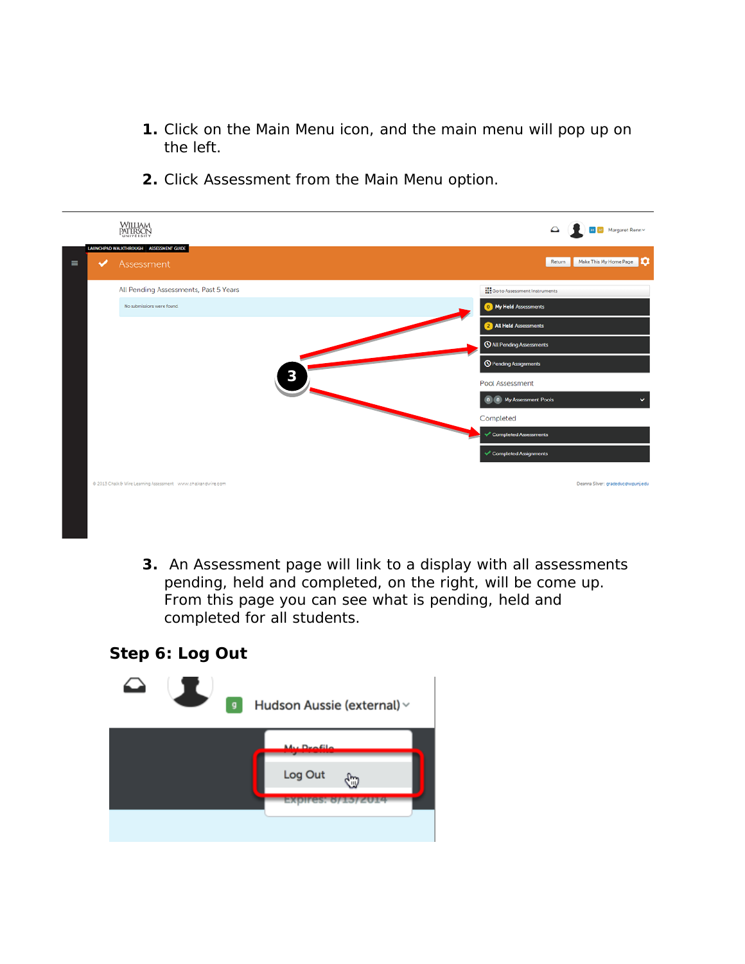- **1.** Click on the Main Menu icon, and the main menu will pop up on the left.
- **2.** Click Assessment from the Main Menu option.

|               |                                                              | Margaret Renn~                          |
|---------------|--------------------------------------------------------------|-----------------------------------------|
| $\equiv$<br>✓ | LAUNCHPAD WALKTHROUGH ASSESSMENT GUIDE<br>Assessment         | Make This My Home Page<br>Return        |
|               | All Pending Assessments, Past 5 Years                        | <b>See Go to Assessment Instruments</b> |
|               | No submissions were found.                                   | <sup>0</sup> My Held Assessments        |
|               |                                                              | 2 All Held Assessments                  |
|               |                                                              | <b>Q All Pending Assessments</b>        |
|               |                                                              | <sup>O</sup> Pending Assignments        |
|               | 3                                                            | Pool Assessment                         |
|               |                                                              | 0 My Assessment Pools<br>$\checkmark$   |
|               |                                                              | Completed                               |
|               |                                                              | Completed Assessments                   |
|               |                                                              | Completed Assignments                   |
|               | @ 2013 Chalk & Wire Learning Assessment www.chalkandwire.com | Deanna Silver: gradeduc@wpunj.edu       |
|               |                                                              |                                         |

**3.** An Assessment page will link to a display with all assessments pending, held and completed, on the right, will be come up. From this page you can see what is pending, held and completed for all students.

**Step 6: Log Out**